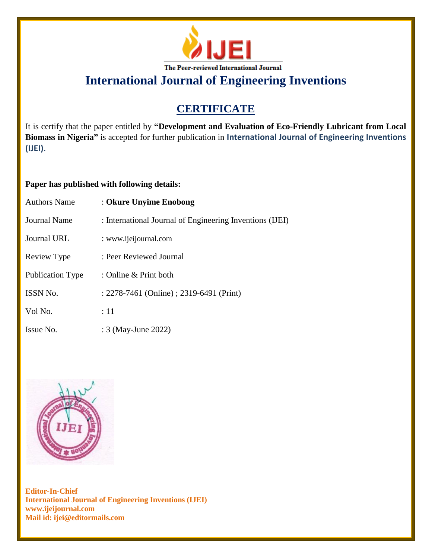

# **International Journal of Engineering Inventions**

## **CERTIFICATE**

It is certify that the paper entitled by **"Development and Evaluation of Eco-Friendly Lubricant from Local Biomass in Nigeria"** is accepted for further publication in **International Journal of Engineering Inventions (IJEI)**.

### **Paper has published with following details:**

| <b>Authors Name</b>     | : Okure Unyime Enobong                                   |
|-------------------------|----------------------------------------------------------|
| <b>Journal Name</b>     | : International Journal of Engineering Inventions (IJEI) |
| <b>Journal URL</b>      | : www.ijeijournal.com                                    |
| Review Type             | : Peer Reviewed Journal                                  |
| <b>Publication Type</b> | : Online & Print both                                    |
| <b>ISSN No.</b>         | : 2278-7461 (Online) ; 2319-6491 (Print)                 |
| Vol No.                 | :11                                                      |
| Issue No.               | : 3 (May-June 2022)                                      |



**Editor-In-Chief International Journal of Engineering Inventions (IJEI) www.ijeijournal.com Mail id: ijei@editormails.com**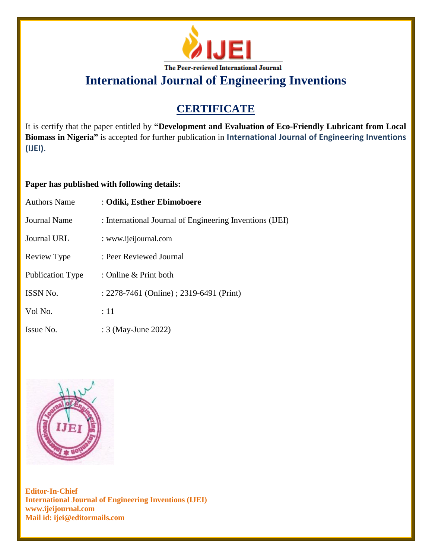

# **International Journal of Engineering Inventions**

## **CERTIFICATE**

It is certify that the paper entitled by **"Development and Evaluation of Eco-Friendly Lubricant from Local Biomass in Nigeria"** is accepted for further publication in **International Journal of Engineering Inventions (IJEI)**.

### **Paper has published with following details:**

| <b>Authors Name</b> | : Odiki, Esther Ebimoboere                               |
|---------------------|----------------------------------------------------------|
| Journal Name        | : International Journal of Engineering Inventions (IJEI) |
| Journal URL         | : www.ijeijournal.com                                    |
| Review Type         | : Peer Reviewed Journal                                  |
| Publication Type    | : Online & Print both                                    |
| <b>ISSN No.</b>     | : 2278-7461 (Online) ; 2319-6491 (Print)                 |
| Vol No.             | $\div 11$                                                |
| Issue No.           | : 3 (May-June 2022)                                      |



**Editor-In-Chief International Journal of Engineering Inventions (IJEI) www.ijeijournal.com Mail id: ijei@editormails.com**